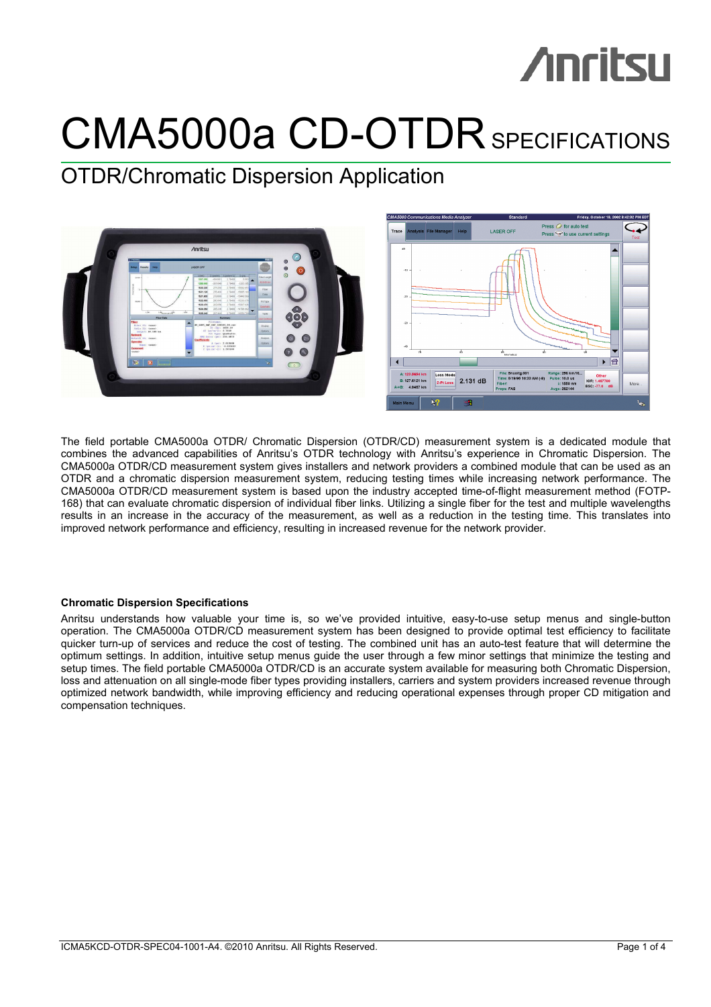## CMA5000a CD-OTDR SPECIFICATIONS

## OTDR/Chromatic Dispersion Application



The field portable CMA5000a OTDR/ Chromatic Dispersion (OTDR/CD) measurement system is a dedicated module that combines the advanced capabilities of Anritsu's OTDR technology with Anritsu's experience in Chromatic Dispersion. The CMA5000a OTDR/CD measurement system gives installers and network providers a combined module that can be used as an OTDR and a chromatic dispersion measurement system, reducing testing times while increasing network performance. The CMA5000a OTDR/CD measurement system is based upon the industry accepted time-of-flight measurement method (FOTP-168) that can evaluate chromatic dispersion of individual fiber links. Utilizing a single fiber for the test and multiple wavelengths results in an increase in the accuracy of the measurement, as well as a reduction in the testing time. This translates into improved network performance and efficiency, resulting in increased revenue for the network provider.

## **Chromatic Dispersion Specifications**

Anritsu understands how valuable your time is, so we've provided intuitive, easy-to-use setup menus and single-button operation. The CMA5000a OTDR/CD measurement system has been designed to provide optimal test efficiency to facilitate quicker turn-up of services and reduce the cost of testing. The combined unit has an auto-test feature that will determine the optimum settings. In addition, intuitive setup menus guide the user through a few minor settings that minimize the testing and setup times. The field portable CMA5000a OTDR/CD is an accurate system available for measuring both Chromatic Dispersion, loss and attenuation on all single-mode fiber types providing installers, carriers and system providers increased revenue through optimized network bandwidth, while improving efficiency and reducing operational expenses through proper CD mitigation and compensation techniques.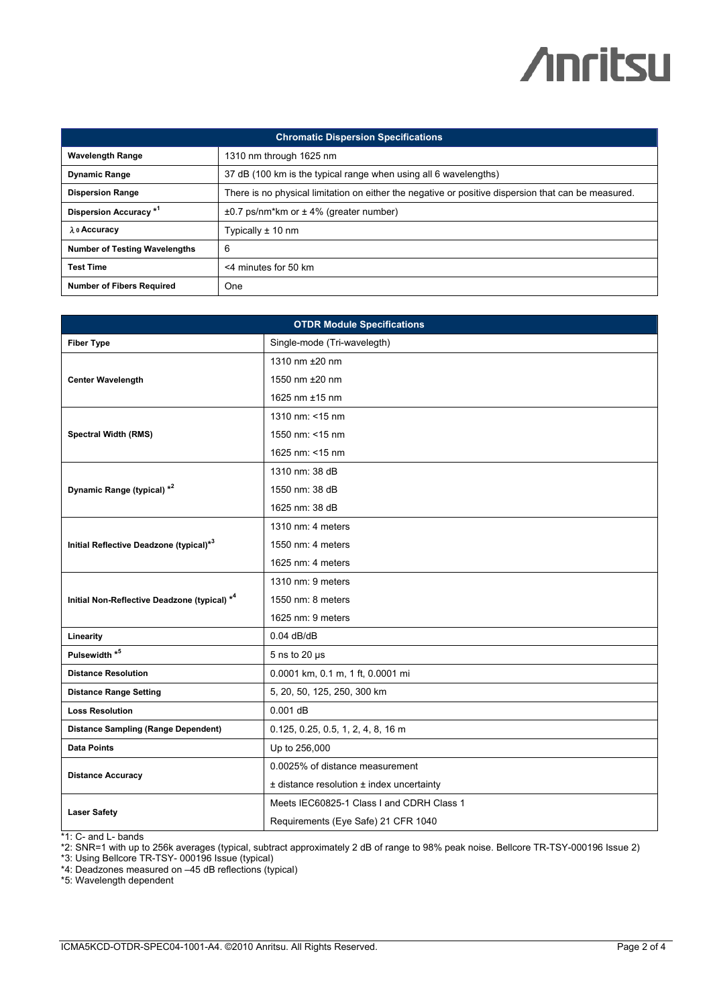| <b>Chromatic Dispersion Specifications</b> |                                                                                                     |  |
|--------------------------------------------|-----------------------------------------------------------------------------------------------------|--|
| <b>Wavelength Range</b>                    | 1310 nm through 1625 nm                                                                             |  |
| <b>Dynamic Range</b>                       | 37 dB (100 km is the typical range when using all 6 wavelengths)                                    |  |
| <b>Dispersion Range</b>                    | There is no physical limitation on either the negative or positive dispersion that can be measured. |  |
| Dispersion Accuracy <sup>*1</sup>          | $\pm 0.7$ ps/nm*km or $\pm 4\%$ (greater number)                                                    |  |
| λ ο Accuracy                               | Typically $\pm$ 10 nm                                                                               |  |
| <b>Number of Testing Wavelengths</b>       | 6                                                                                                   |  |
| <b>Test Time</b>                           | <4 minutes for 50 km                                                                                |  |
| <b>Number of Fibers Required</b>           | <b>One</b>                                                                                          |  |

| <b>OTDR Module Specifications</b>            |                                               |  |
|----------------------------------------------|-----------------------------------------------|--|
| <b>Fiber Type</b>                            | Single-mode (Tri-wavelegth)                   |  |
|                                              | 1310 nm ±20 nm                                |  |
| <b>Center Wavelength</b>                     | 1550 nm ±20 nm                                |  |
|                                              | 1625 nm $±15$ nm                              |  |
|                                              | 1310 nm: <15 nm                               |  |
| <b>Spectral Width (RMS)</b>                  | 1550 nm: <15 nm                               |  |
|                                              | 1625 nm: <15 nm                               |  |
|                                              | 1310 nm: 38 dB                                |  |
| Dynamic Range (typical) *2                   | 1550 nm: 38 dB                                |  |
|                                              | 1625 nm: 38 dB                                |  |
|                                              | 1310 nm: $4$ meters                           |  |
| Initial Reflective Deadzone (typical)*3      | 1550 nm: 4 meters                             |  |
|                                              | 1625 nm: $4$ meters                           |  |
|                                              | 1310 nm: 9 meters                             |  |
| Initial Non-Reflective Deadzone (typical) *4 | 1550 nm: 8 meters                             |  |
|                                              | 1625 nm: 9 meters                             |  |
| Linearity                                    | $0.04$ dB/dB                                  |  |
| Pulsewidth <sup>*5</sup>                     | 5 ns to 20 $\mu$ s                            |  |
| <b>Distance Resolution</b>                   | 0.0001 km, 0.1 m, 1 ft, 0.0001 mi             |  |
| <b>Distance Range Setting</b>                | 5, 20, 50, 125, 250, 300 km                   |  |
| <b>Loss Resolution</b>                       | $0.001$ dB                                    |  |
| <b>Distance Sampling (Range Dependent)</b>   | $0.125, 0.25, 0.5, 1, 2, 4, 8, 16$ m          |  |
| <b>Data Points</b>                           | Up to 256,000                                 |  |
| <b>Distance Accuracy</b>                     | 0.0025% of distance measurement               |  |
|                                              | $±$ distance resolution $±$ index uncertainty |  |
| <b>Laser Safety</b>                          | Meets IEC60825-1 Class I and CDRH Class 1     |  |
|                                              | Requirements (Eye Safe) 21 CFR 1040           |  |

\*1: C- and L- bands

\*2: SNR=1 with up to 256k averages (typical, subtract approximately 2 dB of range to 98% peak noise. Bellcore TR-TSY-000196 Issue 2)

\*3: Using Bellcore TR-TSY- 000196 Issue (typical)

\*4: Deadzones measured on –45 dB reflections (typical)

\*5: Wavelength dependent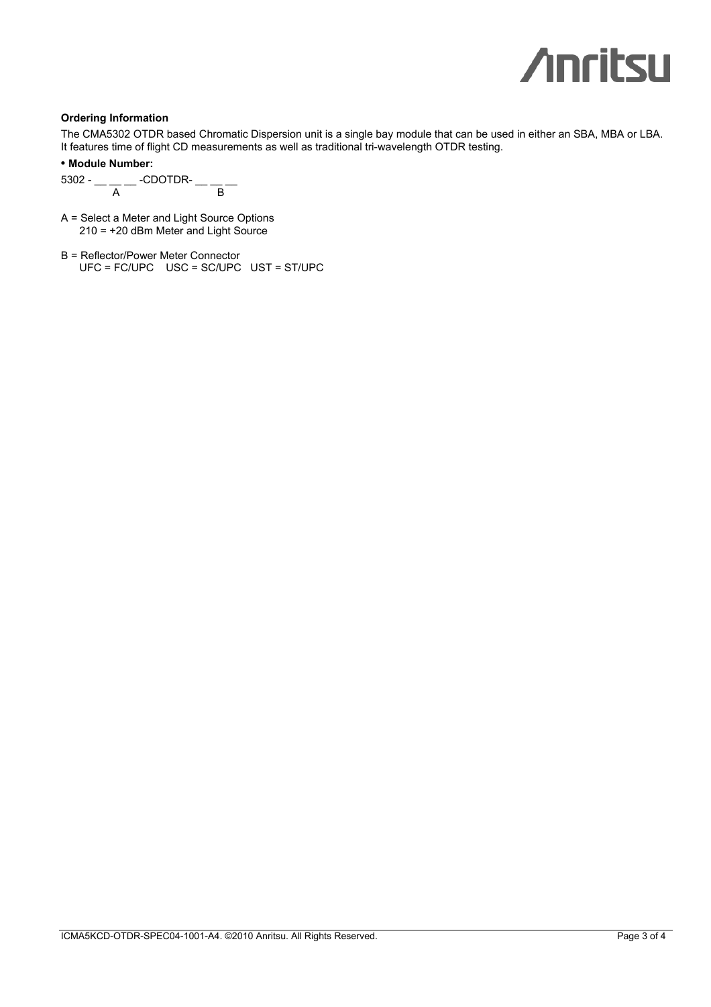## **Ordering Information**

The CMA5302 OTDR based Chromatic Dispersion unit is a single bay module that can be used in either an SBA, MBA or LBA. It features time of flight CD measurements as well as traditional tri-wavelength OTDR testing.

**• Module Number:** 

5302 - \_\_ \_\_ \_\_ -CDOTDR- \_\_ \_\_ \_\_ A B

- A = Select a Meter and Light Source Options 210 = +20 dBm Meter and Light Source
- B = Reflector/Power Meter Connector UFC = FC/UPC USC = SC/UPC UST = ST/UPC